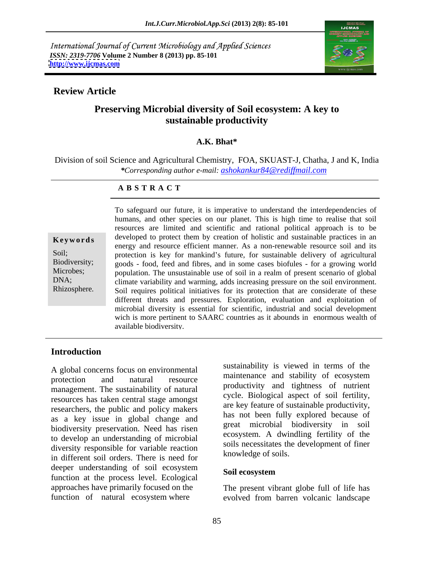International Journal of Current Microbiology and Applied Sciences *ISSN: 2319-7706* **Volume 2 Number 8 (2013) pp. 85-101 <http://www.ijcmas.com>**



## **Review Article**

# **Preserving Microbial diversity of Soil ecosystem: A key to sustainable productivity**

### **A.K. Bhat\***

Division of soil Science and Agricultural Chemistry, FOA, SKUAST-J, Chatha, J and K, India *\*Corresponding author e-mail: ashokankur84@rediffmail.com*

### **A B S T R A C T**

**Keywords** developed to protect them by creation of holistic and sustainable practices in an Soil; protection is key for mankind's future, for sustainable delivery of agricultural Biodiversity; goods - food, feed and fibres, and in some cases biofules - for a growing world Microbes; population. The unsustainable use of soil in a realm of present scenario of global DNA; climate variability and warming, adds increasing pressure on the soil environment. Rhizosphere. Soil requires political initiatives for its protection that are considerate of these To safeguard our future, it is imperative to understand the interdependencies of humans, and other species on our planet. This is high time to realise that soil resources are limited and scientific and rational political approach is to be energy and resource efficient manner. As a non-renewable resource soil and its different threats and pressures. Exploration, evaluation and exploitation of microbial diversity is essential for scientific, industrial and social development wich is more pertinent to SAARC countries as it abounds in enormous wealth of available biodiversity.

### **Introduction**

protection and natural resource maintenance and stability of ecosystem management. The sustainability of natural resources has taken central stage amongst researchers, the public and policy makers as a key issue in global change and biodiversity preservation. Need has risen to develop an understanding of microbial diversity responsible for variable reaction in different soil orders. There is need for deeper understanding of soil ecosystem<br>
Soil ecosystem function at the process level. Ecological approaches have primarily focused on the The present vibrant globe full of life has

A global concerns focus on environmental<br>maintenance and stability of ecosystem sustainability is viewed in terms of the maintenance and stability of ecosystem productivity and tightness of nutrient cycle. Biological aspect of soil fertility, are key feature of sustainable productivity, has not been fully explored because of great microbial biodiversity in soil ecosystem. A dwindling fertility of the soils necessitates the development of finer knowledge of soils.

### **Soil ecosystem**

function of natural ecosystem where evolved from barren volcanic landscape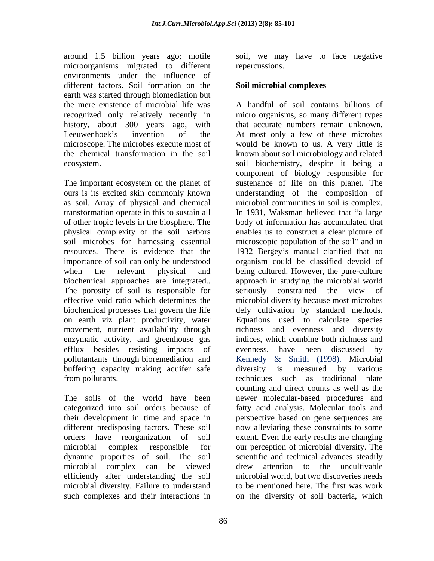around 1.5 billion years ago; motile soil, we may have to face negative microorganisms migrated to different environments under the influence of different factors. Soil formation on the earth was started through biomediation but

The important ecosystem on the planet of of other tropic levels in the biosphere. The The porosity of soil is responsible for seriously constrained the view of on earth viz plant productivity, water efflux besides resisting impacts of evenness, have been discussed by buffering capacity making aquifer safe diversity is measured by various

their development in time and space in dynamic properties of soil. The soil such complexes and their interactions in on the diversity of soil bacteria, which

repercussions.

### **Soil microbial complexes**

the mere existence of microbial life was A handful of soil contains billions of recognized only relatively recently in micro organisms, so many different types history, about 300 years ago, with that accurate numbers remain unknown. Leeuwenhoek's invention of the At most only a few of these microbes microscope. The microbes execute most of would be known to us. A very little is the chemical transformation in the soil known about soil microbiology and related ecosystem. soil biochemistry, despite it being a ours is its excited skin commonly known understanding of the composition of as soil. Array of physical and chemical microbial communities in soil is complex. transformation operate in this to sustain all lacked in 1931, Waksman believed that "a large physical complexity of the soil harbors enables us to construct a clear picture of soil microbes for harnessing essential microscopic population of the soil" and in resources. There is evidence that the 1932 Bergey's manual clarified that no importance of soil can only be understood organism could be classified devoid of when the relevant physical and being cultured. However, the pure-culture biochemical approaches are integrated.. approach in studying the microbial world effective void ratio which determines the microbial diversity because most microbes biochemical processes that govern the life defy cultivation by standard methods. movement, nutrient availability through richness and evenness and diversity enzymatic activity, and greenhouse gas indices, which combine both richness and pollutantants through bioremediation and Kennedy & Smith (1998). Microbial from pollutants. techniques such as traditional plate The soils of the world have been newer molecular-based procedures and categorized into soil orders because of fatty acid analysis. Molecular tools and different predisposing factors. These soil now alleviating these constraints to some orders have reorganization of soil extent. Even the early results are changing microbial complex responsible for our perception of microbial diversity. The microbial complex can be viewed efficiently after understanding the soil microbial world, but two discoveries needs microbial diversity. Failure to understand to be mentioned here. The first was work component of biology responsible for sustenance of life on this planet. The body of information has accumulated that seriously constrained the view of Equations used to calculate species evenness, have been discussed by diversity is measured by various counting and direct counts as well as the perspective based on gene sequences are scientific and technical advances steadily drew attention to the uncultivable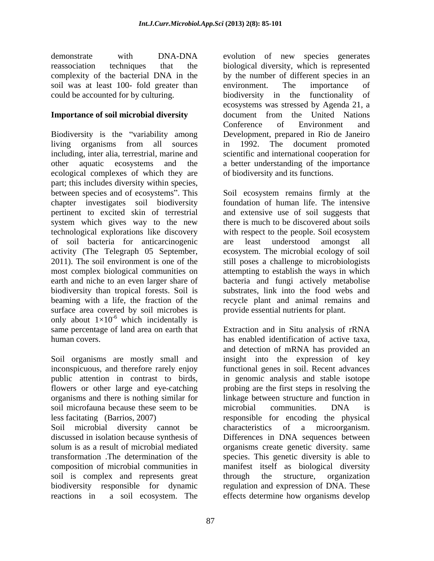soil was at least 100- fold greater than environment. The importance of could be accounted for by culturing. biodiversity in the functionality of

Biodiversity is the "variability among living organisms from all sources in 1992. The document promoted including, inter alia, terrestrial, marine and other aquatic ecosystems and the a better understanding of the importance ecological complexes of which they are part; this includes diversity within species, between species and of ecosystems". This chapter investigates soil biodiversity foundation of human life. The intensive pertinent to excited skin of terrestrial and extensive use of soil suggests that system which gives way to the new technological explorations like discovery of soil bacteria for anticarcinogenic activity (The Telegraph 05 September, ecosystem. The microbial ecology of soil 2011). The soil environment is one of the still poses a challenge to microbiologists most complex biological communities on attempting to establish the ways in which earth and niche to an even larger share of bacteria and fungi actively metabolise biodiversity than tropical forests. Soil is substrates, link into the food webs and beaming with a life, the fraction of the recycle plant and animal remains and surface area covered by soil microbes is only about  $1\times10^{-6}$  which incidentally is which incidentally is  $\mathbb{R}^n$ same percentage of land area on earth that Extraction and in Situ analysis of rRNA human covers. has enabled identification of active taxa,

Soil organisms are mostly small and insight into the expression of key inconspicuous, and therefore rarely enjoy functional genes in soil. Recent advances public attention in contrast to birds, in genomic analysis and stable isotope flowers or other large and eye-catching probing are the first steps in resolving the organisms and there is nothing similar for linkage between structure and function in soil microfauna because these seem to be microbial communities. DNA is

Soil microbial diversity cannot be characteristics soil is complex and represents great through the structure, organization

demonstrate with DNA-DNA evolution of new species generates reassociation techniques that the biological diversity, which is represented complexity of the bacterial DNA in the by the numberof different species in an **Importance of soil microbial diversity** document from the United Nations environment. The importance of biodiversity in the functionality of ecosystems was stressed by Agenda 21, a Conference of Environment and Development, prepared in Rio de Janeiro in 1992. The document promoted scientific and international cooperation for of biodiversity and its functions.

> Soil ecosystem remains firmly at the there is much to be discovered about soils with respect to the people. Soil ecosystem are least understood amongst all provide essential nutrients for plant.

less facitating (Barrios, 2007) responsible for encoding the physical discussed in isolation because synthesis of Differences in DNA sequences between solum is as a result of microbial mediated organisms create genetic diversity. same transformation .The determination of the species. This genetic diversity is able to composition of microbial communities in manifest itself as biological diversity biodiversity responsible for dynamic regulation and expression of DNA. These reactions in a soil ecosystem. The effects determine how organisms developand detection of mRNA has provided an in genomic analysis and stable isotope probing are the first steps in resolving the microbial communities. DNA is of a microorganism. through the structure, organization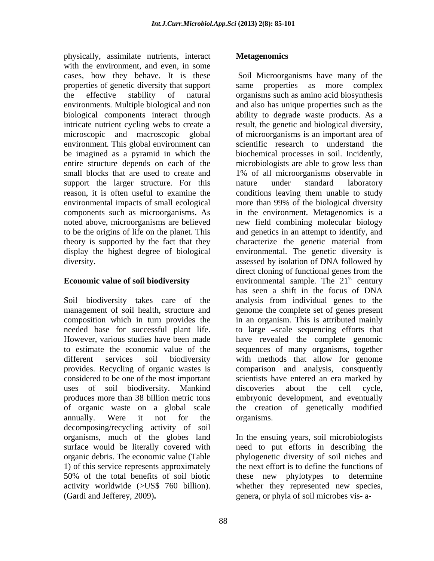physically, assimilate nutrients, interact with the environment, and even, in some cases, how they behave. It is these environment. This global environment can small blocks that are used to create and 1% of all microorganisms observable in support the larger structure. For this a nature under standard laboratory

uses of soil biodiversity. Mankind annually. Were it not for the organisms. decomposing/recycling activity of soil organic debris. The economic value (Table 1) of this service represents approximately

properties of genetic diversity that support same properties as more complex the effective stability of natural organisms such as amino acid biosynthesis environments. Multiple biological and non and also has unique properties such as the biological components interact through ability to degrade waste products. As a intricate nutrient cycling webs to create a result, the genetic and biological diversity, microscopic and macroscopic global of microorganisms is an important area of be imagined as a pyramid in which the biochemical processes in soil. Incidently, entire structure depends on each of the microbiologists are able to grow less than reason, it is often useful to examine the conditions leaving them unable to study environmental impacts of small ecological more than 99% of the biological diversity components such as microorganisms. As in the environment. Metagenomics is a noted above, microorganisms are believed new field combining molecular biology to be the origins of life on the planet. This and genetics in an attempt to identify,and theory is supported by the fact that they characterize the genetic material from display the highest degree of biological environmental. The genetic diversity is diversity. assessed by isolation of DNA followed by **Economic value of soil biodiversity** environmental sample. The 21<sup>st</sup> century Soil biodiversity takes care of the analysis from individual genes to the management of soil health, structure and genome the complete set of genes present composition which in turn provides the in an organism. This is attributed mainly needed base for successful plant life. to large -scale sequencing efforts that However, various studies have been made have revealed the complete genomic to estimate the economic value of the sequences of many organisms, together different services soil biodiversity with methods that allow for genome provides. Recycling of organic wastes is comparison and analysis, consquently considered to be one of the most important scientists have entered an era marked by produces more than 38 billion metric tons embryonic development, and eventually of organic waste on a global scale the creation of genetically modified physically, assimilate uniteractive interactions have been consulted by the consulted with the entire the selective stability of notices and SM bittery is the selective stability of an and organisms have many of the proper Soil Microorganisms have many of the scientific research to understand the 1% of all microorganisms observable in nature under standard laboratory direct cloning of functional genes from the st century has seen a shift in the focus of DNA discoveries about the cell cycle, organisms.

organisms, much of the globes land In the ensuing years, soil microbiologists surface would be literally covered with need to put efforts in describing the 50% of the total benefits of soil biotic these new phylotypes to determine activity worldwide (>US\$ 760 billion). whether they represented new species, phylogenetic diversity of soil niches and the next effort is to define the functions of genera, or phyla of soil microbes vis- a-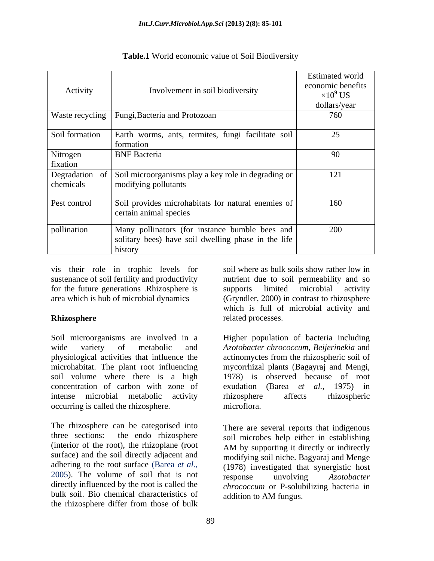| Activity                   | Involvement in soil biodiversity                                                                                 | <b>Estimated world</b><br>economic benefits<br>$\times 10^9$ US<br>dollars/year |
|----------------------------|------------------------------------------------------------------------------------------------------------------|---------------------------------------------------------------------------------|
|                            | Waste recycling   Fungi, Bacteria and Protozoan                                                                  | 760                                                                             |
| Soil formation             | Earth worms, ants, termites, fungi facilitate soil<br>formation                                                  | 25                                                                              |
| Nitrogen<br>fixation       | <b>BNF</b> Bacteria                                                                                              | 90                                                                              |
| Degradation o<br>chemicals | Soil microorganisms play a key role in degrading or<br>modifying pollutants                                      | 121                                                                             |
| Pest control               | Soil provides microhabitats for natural enemies of<br>certain animal species                                     | 160                                                                             |
| pollination                | Many pollinators (for instance bumble bees and<br>solitary bees) have soil dwelling phase in the life<br>history | 200                                                                             |

**Table.1** World economic value of Soil Biodiversity

vis their role in trophic levels for sustenance of soil fertility and productivity for the future generations .Rhizosphere is

Soil microorganisms are involved in a Higher population of bacteria including wide variety of metabolic and *Azotobacter chrococcum, Beijerinekia* and physiological activities that influence the actinomyctes from the rhizospheric soil of microhabitat. The plant root influencing mycorrhizal plants (Bagayraj and Mengi, soil volume where there is a high 1978) is observed because of root concentration of carbon with zone of exudation (Barea *et al.,* 1975) in intense microbial metabolic activity occurring is called the rhizosphere. microflora.

The rhizosphere can be categorised into three sections: the endo rhizosphere soil microbes help either in establishing (interior of the root), the rhizoplane (root AM by supporting it directly or indirectly surface) and the soil directly adjacent and adhering to the root surface (Barea *et al.*, (1978) investigated that synergistic host 2005). The volume of soil that is not response unvolving Azotobacter directly influenced by the root is called the bulk soil. Bio chemical characteristics of the rhizosphere differ from those of bulk

area which is hub of microbial dynamics (Gryndler, 2000) in contrast to rhizosphere **Rhizosphere** example and related processes. soil where as bulk soils show rather low in nutrient due to soil permeability and so supports limited microbial activity which is full of microbial activity and related processes.

> rhizosphere affects rhizospheric microflora.

There are several reports that indigenous AM by supporting it directly or indirectly modifying soil niche. Bagyaraj and Menge response unvolving *Azotobacter chrococcum* or P-solubilizing bacteria in addition to AM fungus.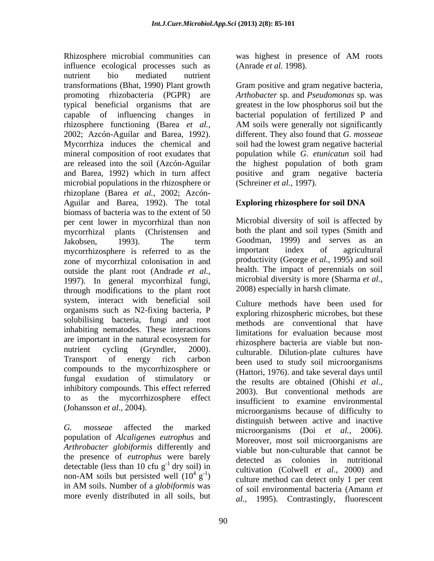Rhizosphere microbial communities can was highest in presence of AM roots influence ecological processes such as nutrient bio mediated nutrient transformations (Bhat, 1990) Plant growth Gram positive and gram negative bacteria, promoting rhizobacteria (PGPR) are *Arthobacter* sp*.* and *Pseudomonas* sp*.* was typical beneficial organisms that are greatest in the low phosphorus soil but the capable of influencing changes in bacterial population of fertilized P and rhizosphere functioning (Barea *et al.,* AM soils were generally not significantly 2002; Azcón-Aguilar and Barea, 1992). Mycorrhiza induces the chemical and soil had the lowest gram negative bacterial mineral composition of root exudates that are released into the soil (Azcón-Aguilar the highest population of both gram and Barea, 1992) which in turn affect positive and gram negative bacteria microbial populations in the rhizosphere or rhizoplane (Barea *et al.,* 2002; Azcón- Aguilar and Barea, 1992). The total Exploring rhizosphere for soil DNA biomass of bacteria was to the extent of 50 per cent lower in mycorrhizal than non mycorrhizal plants (Christensen and Jakobsen, 1993). The term Goodman, 1999) and serves as an mycorrhizosphere is referred to as the important index of agricultural zone of mycorrhizal colonisation in and outside the plant root (Andrade *et al.,* 1997)*.* In general mycorrhizal fungi, through modifications to the plant root system, interact with beneficial soil organisms such as N2-fixing bacteria, P solubilising bacteria, fungi and root inhabiting nematodes. These interactions are important in the natural ecosystem for<br>thizosphere hacteria are viable but nonnutrient cycling (Gryndler, 2000). culturable. Dilution-plate cultures have Transport of energy rich carbon been used to study soil microorganisms compounds to the mycorrhizosphere or fungal exudation of stimulatory or inhibitory compounds. This effect referred to as the mycorrhizosphere effect insufficient to examine environmental

population of *Alcaligenes eutrophus* and *Arthrobacter globiformis* differently and the presence of *eutrophus* were barely<br>detected as colonies in nutritional detectable (less than 10 cfu  $g^{-1}$  dry soil) in more evenly distributed in all soils, but

was highest in presence of AM roots (Anrade *et al.* 1998).

different. They also found that *G. mosseae* population while *G*. *etunicatun* soil had (Schreiner *et al.,* 1997).

## **Exploring rhizosphere for soil DNA**

Microbial diversity of soil is affected by both the plant and soil types (Smith and Goodman, 1999) and serves as an important index of agricultural productivity (George *et al.,* 1995) and soil health. The impact of perennials on soil microbial diversity is more (Sharma *et al.,* 2008) especially in harsh climate.

(Johansson *et al.,* 2004)*.* microorganisms because of difficulty to *G. mosseae* affected the marked microorganisms (Doi *et al.,* 2006). <sup>-1</sup> dry soil) in cultivation (Colwell *et al.*, 2000) and non-AM soils but persisted well  $(10^4 \text{ g}^{-1})$  culture method can detect only 1 per cent  $(g<sup>-1</sup>)$  culture method can detect only 1 per cent  $\mathcal{L}_{1}$  canvalon (Colwell  $\mathcal{L}_{1}$  and  $\mathcal{L}_{2}$ in AM soils. Number of a *globiformis* was Culture methods have been used for exploring rhizospheric microbes, but these methods are conventional that have limitations for evaluation because most rhizosphere bacteria are viable but non- (Hattori, 1976). and take several days until the results are obtained (Ohishi *et al.,* 2003). But conventional methods are distinguish between active and inactive Moreover, most soil microorganisms are viable but non-culturable that cannot be detected as colonies in nutritional of soil environmental bacteria (Amann *et al.,* 1995). Contrastingly, fluorescent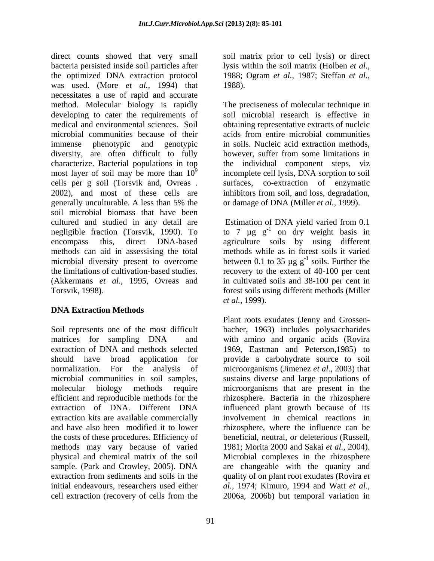direct counts showed that very small soil matrix prior to cell lysis) or direct bacteria persisted inside soil particles after lysis within the soil matrix (Holben *et al.,* the optimized DNA extraction protocol 1988; Ogram *et al.,* 1987; Steffan *et al.,* was used. (More *et al.,* 1994) that necessitates a use of rapid and accurate method. Molecular biology is rapidly developing to cater the requirements of soil microbial research is effective in medical and environmental sciences. Soil obtaining representative extracts of nucleic microbial communities because of their acids from entire microbial communities immense phenotypic and genotypic in soils. Nucleic acid extraction methods, diversity, are often difficult to fully however, suffer from some limitations in characterize. Bacterial populations in top the individual component steps, viz most layer of soil may be more than  $10^9$  incomplete cell lysis, DNA sorption to soil cells per g soil (Torsvik and, Ovreas . surfaces, co-extraction of enzymatic 2002), and most of these cells are inhibitors from soil, and loss, degradation, generally unculturable. A less than 5% the or damage of DNA (Miller *et al.*, 1999). soil microbial biomass that have been cultured and studied in any detail are Estimation of DNA yield varied from 0.1 negligible fraction (Torsvik, 1990). To to 7  $\mu$ g g<sup>-1</sup> on dry weight basis in encompass this, direct DNA-based agriculture soils by using different methods can aid in assessising the total methods while as in forest soils it varied microbial diversity present to overcome between 0.1 to 35  $\mu$ g g<sup>-1</sup> soils. Further the the limitations of cultivation-based studies. recovery to the extent of 40-100 per cent (Akkermans *et al.,* 1995, Ovreas and in cultivated soils and 38-100 per cent in Torsvik, 1998). forest soils using different methods (Miller

### **DNA Extraction Methods**

Soil represents one of the most difficult bacher, 1963) includes polysaccharides matrices for sampling DNA and with amino and organic acids (Rovira extraction of DNA and methods selected 1969, Eastman and Peterson,1985) to should have broad application for provide a carbohydrate source to soil normalization. For the analysis of microorganisms (Jimenez *et al.,* 2003) that microbial communities in soil samples, sustains diverse and large populations of molecular biology methods require microorganisms that are present in the efficient and reproducible methods for the rhizosphere. Bacteria in the rhizosphere extraction of DNA. Different DNA influenced plant growth because of its extraction kits are available commercially and have also been modified it to lower the costs of these procedures. Efficiency of methods may vary because of varied physical and chemical matrix of the soil sample. (Park and Crowley, 2005). DNA are changeable with the quanity and extraction from sediments and soils in the quality of on plant root exudates (Rovira *et* initial endeavours, researchers used either *al.,* 1974; Kimuro, 1994 and Watt *et al.,* cell extraction (recovery of cells from the 2006a, 2006b) but temporal variation in

1988).

The preciseness of molecular technique in however, suffer from some limitations in or damage of DNA (Miller *et al.,* 1999).

Estimation of DNA yield varied from 0.1  $^{-1}$  soils. Eurthor the soils. Further the *et al.,* 1999).

Plant roots exudates (Jenny and Grossen involvement in chemical reactions in rhizosphere, where the influence can be beneficial, neutral, or deleterious (Russell, 1981; Morita 2000 and Sakai *et al.,* 2004). Microbial complexes in the rhizosphere 2006a, 2006b) but temporal variation in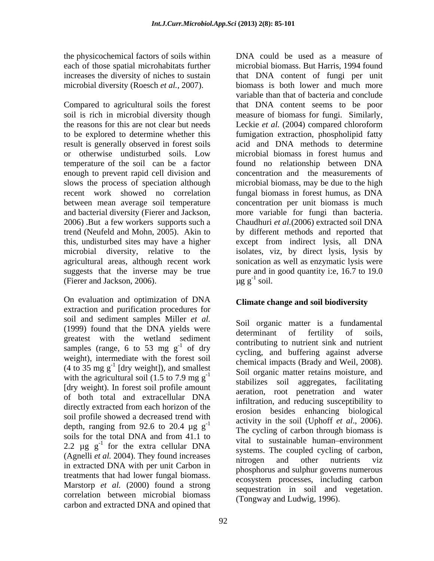the physicochemical factors of soils within each of those spatial microhabitats further

to be explored to determine whether this result is generally observed in forest soils 2006) .But a few workers supports such a trend (Neufeld and Mohn, 2005). Akin to (Fierer and Jackson, 2006).  $\mu$ g  $g^{-1}$  soil.

On evaluation and optimization of DNA extraction and purification procedures for soil and sediment samples Miller *et al.* (1999) found that the DNA yields were determinant of fertility of soils. greatest with the wetland sediment samples (range, 6 to 53 mg  $g^{-1}$  of dry weight), intermediate with the forest soil with the agricultural soil (1.5 to 7.9 mg  $g^{-1}$ [dry weight). In forest soil profile amount of both total and extracellular DNA directly extracted from each horizon of the soil profile showed a decreased trend with depth, ranging from 92.6 to 20.4  $\mu$ g g<sup>-1</sup> The cycling of carbon through biomass is soils for the total DNA and from 41.1 to 2.2  $\mu$ g g<sup>-1</sup> for the extra cellular DNA (Agnelli *et al.* 2004). They found increases introgen and other nutrients viz in extracted DNA with per unit Carbon in treatments that had lower fungal biomass. Marstorp *et al.* (2000) found a strong correlation between microbial biomass carbon and extracted DNA and opined that

increases the diversity of niches to sustain that DNA content of fungi per unit microbial diversity (Roesch *et al.*, 2007). biomass is both lower and much more Compared to agricultural soils the forest that DNA content seems to be poor soil is rich in microbial diversity though measure of biomass for fungi. Similarly, the reasons for this are not clear but needs Leckie *et al.* (2004) compared chloroform or otherwise undisturbed soils. Low temperature of the soil can be a factor found no relationship between DNA enough to prevent rapid cell division and concentration and the measurements of slows the process of speciation although microbial biomass, may be due to the high recent work showed no correlation fungal biomass in forest humus, as DNA between mean average soil temperature concentration per unit biomass is much and bacterial diversity (Fierer and Jackson, more variable for fungi than bacteria. this, undisturbed sites may have a higher except from indirect lysis, all DNA microbial diversity, relative to the isolates, viz, by direct lysis, lysis by agricultural areas, although recent work sonication as well as enzymatic lysis were suggests that the inverse may be true pure and in good quantity i:e, 16.7 to 19.0 DNA could be used as a measure of microbial biomass. But Harris, 1994 found variable than that of bacteria and conclude fumigation extraction, phospholipid fatty acid and DNA methods to determine microbial biomass in forest humus and Chaudhuri *et al.*(2006) extracted soil DNA by different methods and reported that  $\mu$ g g<sup>-1</sup> soil.  $-1$  soil soil.

# **Climate change and soil biodiversity**

 $\sum_{-1}^{\infty}$  contributing to nutrient sink and nutrient of dry cycling, and buffering against adverse  $(4 \text{ to } 35 \text{ mg g}^{-1}$  [dry weight]), and smallest contained impacts (Brauy and Weil, 2006). [dry weight]), and smallest<br>  $\begin{array}{ll}\n\text{Sol} & \text{Sol} \\
\text{Sol} & \text{t} \\
\text{t} & \text{t} \\
\text{t} & \text{t} \\
\text{t} & \text{t}\n\end{array}$ activity in the soil (Uphoff  $et$  al., 2006).  $^{1}$  for the extra cellular DNA  $^{1}$  vital to sustainable numan-environment Soil organic matter is a fundamental determinant of fertility of soils, chemical impacts (Brady and Weil, 2008). stabilizes soil aggregates, facilitating aeration, root penetration and water infiltration, and reducing susceptibility to erosion besides enhancing biological activity in the soil (Uphoff *et al.*, 2006).<br>The cycling of carbon through biomass is vital to sustainable human-environment systems. The coupled cycling of carbon, nitrogen and other nutrients viz phosphorus and sulphur governs numerous ecosystem processes, including carbon sequestration in soil and vegetation. (Tongway and Ludwig, 1996).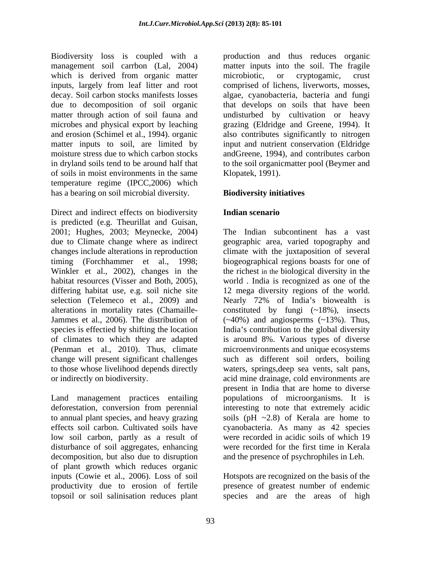Biodiversity loss is coupled with a production and thus reduces organic management soil carrbon (Lal, 2004) matter inputs into the soil. The fragile which is derived from organic matter microbiotic, or cryptogamic, crust inputs, largely from leaf litter and root comprised of lichens, liverworts, mosses, decay. Soil carbon stocks manifests losses algae, cyanobacteria, bacteria and fungi due to decomposition of soil organic matter through action of soil fauna and lundisturbed by cultivation or heavy microbes and physical export by leaching grazing (Eldridge and Greene, 1994). It and erosion (Schimel et al., 1994). organic also contributes significantly to nitrogen matter inputs to soil, are limited by input and nutrient conservation (Eldridge moisture stress due to which carbon stocks andGreene, 1994), and contributes carbon in dryland soils tend to be around half that to the soil organicmatter pool (Beymer and of soils in moist environments in the same temperature regime (IPCC,2006) which has a bearing on soil microbial diversity.

Direct and indirect effects on biodiversity **Indian scenario** is predicted (e.g. Theurillat and Guisan, 2001; Hughes, 2003; Meynecke, 2004) differing habitat use, e.g. soil niche site to those whose livelihood depends directly waters, springs, deep sea vents, salt pans, or indirectly on biodiversity. acid mine drainage, cold environments are

Land management practices entailing to annual plant species, and heavy grazing low soil carbon, partly as a result of disturbance of soil aggregates, enhancing decomposition, but also due to disruption of plant growth which reduces organic inputs (Cowie et al., 2006).Loss of soil Hotspots are recognized on the basis of the productivity due to erosion of fertile presence of greatest number of endemic

microbiotic, or cryptogamic, crust that develops on soils that have been Klopatek, 1991).

## **Biodiversity initiatives**

## **Indian scenario**

due to Climate change where as indirect geographic area, varied topography and changes include alterations in reproduction climate with the juxtaposition of several timing (Forchhammer et al., 1998; biogeographical regions boasts for one of Winkler et al., 2002), changes in the the richest in the biological diversity in the habitat resources (Visser and Both, 2005), world . India is recognized as one of the selection (Telemeco et al., 2009) and Mearly 72% of India's biowealth is alterations in mortality rates (Chamaille- constituted by fungi (~18%), insects Jammes et al., 2006). The distribution of (~40%) and angiosperms (~13%). Thus, species is effectied by shifting the location India's contribution to the global diversity of climates to which they are adapted is around 8%. Various types of diverse (Penman et al., 2010). Thus, climate microenvironments and unique ecosystems change will present significant challenges such as different soil orders, boiling deforestation, conversion from perennial interesting to note that extremely acidic effects soil carbon. Cultivated soils have cyanobacteria. As many as 42 species The Indian subcontinent has a vast 12 mega diversity regions of the world. waters, springs,deep sea vents, salt pans,<br>acid mine drainage, cold environments are present in India that are home to diverse populations of microorganisms. It is soils (pH ~2.8) of Kerala are home to were recorded in acidic soils of which 19 were recorded for the first time in Kerala and the presence of psychrophiles in Leh.

topsoil or soil salinisation reduces plant species and are the areas of high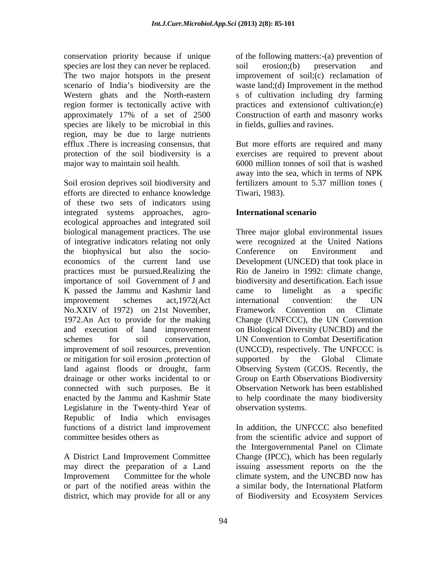conservation priority because if unique of the following matters:-(a) prevention of species are lost they can never be replaced. soil erosion; (b) preservation and The two major hotspots in the present improvement of soil;(c) reclamation of scenario of India's biodiversity are the waste land;(d) Improvement in the method Western ghats and the North-eastern region former is tectonically active with practices and extensionof cultivation;(e) approximately 17% of a set of 2500 species are likely to be microbial in this region, may be due to large nutrients efflux .There is increasing consensus, that protection of the soil biodiversity is a exercises are required to prevent about major way to maintain soil health. 6000 million tonnes of soil that is washed

Soil erosion deprives soil biodiversity and efforts are directed to enhance knowledge of these two sets of indicators using integrated systems approaches, agro-<br>International scenario ecological approaches and integrated soil biological management practices. The use Three major global environmental issues of integrative indicators relating not only were recognized at the United Nations the biophysical but also the socio economics of the current land use Development (UNCED) that took place in practices must be pursued.Realizing the Rio de Janeiro in 1992: climate change, importance of soil Government of J and biodiversity and desertification. Each issue K passed the Jammu and Kashmir land came to limelight as a specific improvement schemes act,1972(Act No.XXIV of 1972) on 21st November, 1972.An Act to provide for the making Change (UNFCCC), the UN Convention and execution of land improvement on Biological Diversity (UNCBD) and the schemes for soil conservation, UN Convention to Combat Desertification improvement of soil resources, prevention (UNCCD), respectively. The UNFCCC is or mitigation for soil erosion ,protection of supported by the Global Climate land against floods or drought, farm Observing System (GCOS. Recently, the drainage or other works incidental to or connected with such purposes. Be it enacted by the Jammu and Kashmir State to help coordinate the many biodiversity Legislature in the Twenty-third Year of Republic of India which envisages functions of a district land improvement In addition, the UNFCCC also benefited committee besides others as from the scientific advice and support of

or part of the notified areas within the a similar body, the International Platform district, which may provide for all or any of Biodiversity and Ecosystem Services

soil erosion;(b) preservation and s of cultivation including dry farming Construction of earth and masonry works in fields, gullies and ravines.

But more efforts are required and many away into the sea, which in terms of NPK fertilizers amount to 5.37 million tones ( Tiwari, 1983).

## **International scenario**

Conference on Environment and international convention: the UN Framework Convention on Climate supported by the Global Climate Group on Earth Observations Biodiversity Observation Network has been established observation systems.

A District Land Improvement Committee Change (IPCC), which has been regularly may direct the preparation of a Land issuing assessment reports on the the Improvement Committee for the whole climate system, and the UNCBD now has the Intergovernmental Panel on Climate a similar body, the International Platform of Biodiversity and Ecosystem Services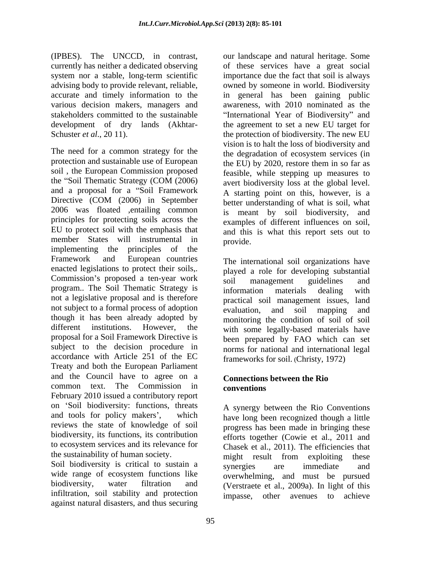(IPBES). The UNCCD, in contrast, currently has neither a dedicated observing of these services have a great social system nor a stable, long-term scientific importance due the fact that soil is always advising body to provide relevant, reliable, owned by someone in world. Biodiversity accurate and timely information to the in general has been gaining public various decision makers, managers and stakeholders committed to the sustainable **International Year of Biodiversity**" and development of dry lands (Akhtar- the agreement to set a new EU target for

The need for a common strategy for the protection and sustainable use of European soil , the European Commission proposed the "Soil Thematic Strategy  $(COM (2006)$  avert biodiversity loss at the global level and a proposal for a "Soil Framework Directive (COM (2006) in September better understanding of what is soil what 2006 was floated ,entailing common principles for protecting soils across the EU to protect soil with the emphasis that member States will instrumental in provide. implementing the principles of the Framework and European countries The international soil organizations have enacted legislations to protect their soils,. Commission's proposed a ten-year work soil management guidelines and program.. The Soil Thematic Strategy is information materials dealing with not a legislative proposal and is therefore not subject to a formal process of adoption evaluation, and soil mapping and though it has been already adopted by different institutions. However, the with some legally-based materials have proposal for a Soil Framework Directive is been prepared by FAO which can set subject to the decision procedure in accordance with Article 251 of the EC Treaty and both the European Parliament and the Council have to agree on a common text. The Commission in conventions February 2010 issued a contributory report on 'Soil biodiversity: functions, threats and tools for policy makers', which have long been recognized though a little reviews the state of knowledge of soil biodiversity, its functions, its contribution to ecosystem services and its relevance for Chasek et al., 2011). The efficiencies that the sustainability of human society.<br>
<u>might</u> result from exploiting these

Soil biodiversity is critical to sustain a synergies are immediate and wide range of ecosystem functions like overwhelming, and must be pursued biodiversity, water filtration and (Verstraete et al., 2009a). In light of this infiltration, soil stability and protection impasse, other avenues to achieve against natural disasters, and thus securing

Schuster *et al.*, 20 11). the protection of biodiversity. The new EU our landscape and natural heritage. Some awareness, with 2010 nominated as the vision is to halt the loss of biodiversity and the degradation of ecosystem services (in the EU) by 2020, restore them in so far as feasible, while stepping up measures to avert biodiversity loss at the global level. A starting point on this, however, is a better understanding of what is soil, what is meant by soil biodiversity, and examples of different influences on soil, and this is what this report sets out to provide.

> played a role for developing substantial soil management guidelines and information materials dealing with practical soil management issues, land evaluation, and soil mapping and monitoring the condition of soil of soil norms for national and international legal frameworks for soil. (Christy, 1972)

### **Connections between the Rio conventions**

A synergy between the Rio Conventions progress has been made in bringing these efforts together (Cowie et al., 2011 and might result from exploiting these synergies are immediate and impasse, other avenues to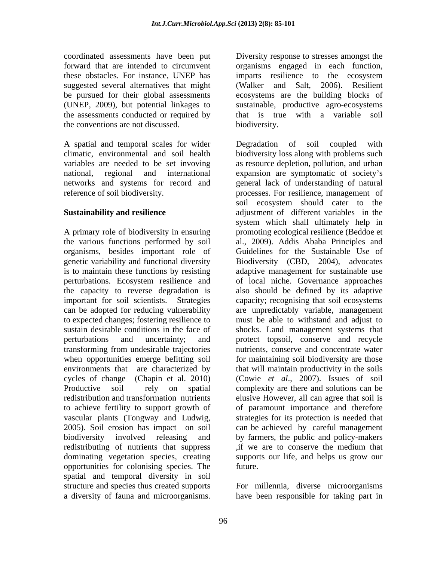coordinated assessments have been put forward that are intended to circumvent organisms engaged in each function, these obstacles. For instance, UNEP has suggested several alternatives that might (Walker and Salt, 2006). Resilient be pursued for their global assessments (UNEP, 2009), but potential linkages to sustainable, productive agro-ecosystems the assessments conducted or required by the conventions are not discussed.

A spatial and temporal scales for wider Degradation of soil coupled with

organisms, besides important role of vascular plants (Tongway and Ludwig, redistributing of nutrients that suppress if we are to conserve the medium that opportunities for colonising species. The spatial and temporal diversity in soil structure and species thus created supports For millennia, diverse microorganisms

imparts resilience to the ecosystem (Walker and Salt, 2006). Resilient ecosystems are the building blocks of that is true with a variable soil biodiversity.

climatic, environmental and soil health biodiversity loss along with problems such variables are needed to be set invoving as resource depletion, pollution, and urban national, regional and international expansion are symptomatic of society s networks and systems for record and general lack of understanding of natural reference of soil biodiversity. processes. For resilience, management of **Sustainability and resilience** adjustment of different variables in the A primary role of biodiversity in ensuring promoting ecological resilience (Beddoe et the various functions performed by soil al., 2009). Addis Ababa Principles and genetic variability and functional diversity Biodiversity (CBD, 2004), advocates is to maintain these functions by resisting adaptive management for sustainable use perturbations. Ecosystem resilience and of local niche. Governance approaches the capacity to reverse degradation is also should be defined by its adaptive important for soil scientists. Strategies capacity; recognising that soil ecosystems can be adopted for reducing vulnerability are unpredictably variable, management to expected changes; fostering resilience to must be able to withstand and adjust to sustain desirable conditions in the face of shocks. Land management systems that perturbations and uncertainty; and protect topsoil, conserve and recycle transforming from undesirable trajectories nutrients, conserve and concentrate water when opportunities emerge befitting soil for maintaining soil biodiversity are those environments that are characterized by that will maintain productivity in the soils cycles of change (Chapin et al. 2010) (Cowie *et al*., 2007). Issues of soil Productive soil rely on spatial complexity are there and solutions can be redistribution and transformation nutrients elusive However, all can agree that soil is to achieve fertility to support growth of of paramount importance and therefore 2005). Soil erosion has impact on soil can be achieved by careful management biodiversity involved releasing and by farmers, the public and policy-makers dominating vegetation species, creating supports our life, and helps us grow our conorinate states have been put a consense to response to the consense to the consense to the consense to the consense to the consense to the consense and microsical for fact that in the consense are the building blocks of Degradation of soil coupled with soil ecosystem should cater to the system which shall ultimately help in Guidelines for the Sustainable Use of strategies for its protection is needed that ,if we are to conserve the medium that future.

have been responsible for taking part in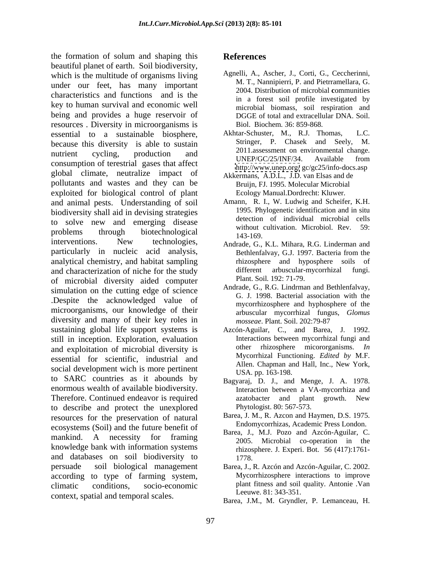the formation of solum and shaping this **References** beautiful planet of earth. Soil biodiversity, which is the multitude of organisms living under our feet, has many important characteristics and functions and is the key to human survival and economic well being and provides a huge reservoir of resources . Diversity in microorganisms is essential to a sustainable biosphere, Akhtar-Schuster, M., R.J. Thomas, L.C.<br>because this diversity is able to sustain Stringer. P. Chasek and Seely. M. because this diversity is able to sustain nutrient cycling, production and <sup>2011</sup> assessment of environmental change. consumption of terestrial gases that affect<br>the consumption of terestrial gases that affect<br>the consumption of terestrial gases that affect global climate, neutralize impact of pollutants and wastes and they can be exploited for biological control of plant and animal pests. Understanding of soil biodiversity shall aid in devising strategies to solve new and emerging disease<br>without cultivation Microbiol Rev 59. problems through biotechnological  $\frac{1}{143.169}$  has through biotechnological interventions. New technologies, Andrade G. K.L. Mihara R.G. Linderman and particularly in nucleic acid analysis, analytical chemistry, and habitat sampling and characterization of niche for the study different arbuscular-mycorrhizal fungi. of microbial diversity aided computer simulation on the cutting edge of science .Despite the acknowledged value of microorganisms, our knowledge of their diversity and many of their key roles in *mosseae*. Plant. Soil. 202:79-87 sustaining global life support systems is Azcón-Aguilar, C., and Barea, J. 1992. still in inception. Exploration, evaluation and exploitation of microbial diversity is essential for scientific, industrial and Mycorrhizal Functioning. *Edited by* M.F.<br>Allen. Chapman and Hall, Inc., New York, social development wich is more pertinent<br>USA. pp. 163-198. to SARC countries as it abounds by enormous wealth of available biodiversity. Interaction between a VA-mycorrhiza and Therefore. Continued endeavor is required azarobacter and plant growth. New to describe and protect the unexplored resources for the preservation of natural ecosystems (Soil) and the future benefit of mankind. A necessity for framing  $\frac{B_{\text{at}}(x)}{2005}$ ,  $\frac{M_{\text{at}}(x)}{M_{\text{ic}}(x)}$  and  $\frac{N_{\text{ic}}(x)}{N_{\text{c}}(x)}$  in the knowledge bank with information systems and databases on soil biodiversity to persuade soil biological management Barea, J., R. Azcón and Azcón-Aguilar, C. 2002. according to type of farming system, climatic conditions, socio-economic plant fitness and soil quality. Antonie .Van context, spatial and temporal scales.

## **References**

- Agnelli, A., Ascher, J., Corti, G., Ceccherinni, M. T., Nannipierri, P. and Pietrramellara, G. 2004. Distribution of microbial **c**ommunities in a forest soil profile investigated by microbial biomass, soil respiration and DGGE of total and extracellular DNA. Soil. Biol. Biochem*.* 36: 859-868.
- Akhtar-Schuster, M., R.J. Thomas, Stringer, P. Chasek and Seely, 2011.assessment on environmental change. UNEP/GC/25/INF/34. Available from <http://www.unep.org/> gc/gc25/info-docs.asp
- Akkermans, A.D.L., J.D. van Elsas and de Bruijn, FJ. 1995. Molecular Microbial Ecology Manual.Dordrecht: Kluwer.
- Amann, R. I., W. Ludwig and Scheifer, K.H. 1995. Phylogenetic identification and in situ detection of individual microbial cells without cultivation. Microbiol. Rev. 143-169.
- Andrade, G., K.L. Mihara, R.G. Linderman and Bethlenfalvay, G.J. 1997. Bacteria from the rhizosphere and hyposphere soils of arbuscular-mycorrhizal Plant. Soil*.* 192: 71-79.
- Andrade, G., R.G. Lindrman and Bethlenfalvay, G. J. 1998. Bacterial association with the mycorrhizosphere and hyphosphere of the arbuscular mycorrhizal fungus, *Glomus mosseae*. Plant. Soil. 202:79-87
- Interactions between mycorrhizal fungi and other rhizosphere micororganisms. *In*  Mycorrhizal Functioning. *Edited by* M.F. Allen. Chapman and Hall, Inc., New York, USA. pp. 163-198.
- Bagyaraj, D. J., and Menge, J. A. 1978. azatobacter and plant growth. New Phytologist. 80: 567-573.
- Barea, J. M., R. Azcon and Haymen, D.S. 1975. Endomycorrhizas, Academic Press London.
- Barea, J., M.J. Pozo and Azcón-Aguilar, C. 2005. Microbial co-operation in the rhizosphere. J. Experi. Bot. 56 (417):1761- 1778.
- Mycorrhizosphere interactions to improve Leeuwe. 81: 343-351.
- Barea, J.M., M. Gryndler, P. Lemanceau, H.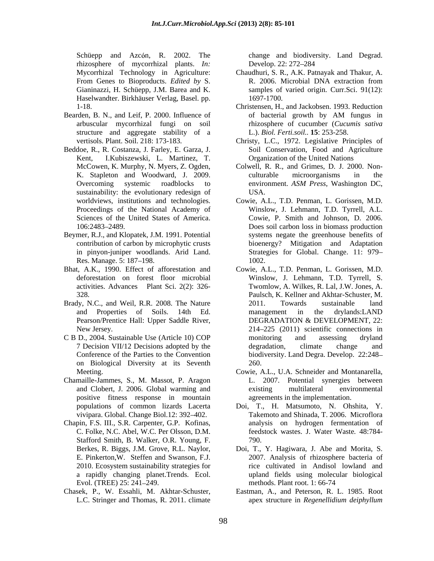rhizosphere of mycorrhizal plants. *In:*  Haselwandter. Birkhäuser Verlag, Basel. pp.

- structure and aggregate stability of a
- Beddoe, R., R. Costanza, J. Farley, E. Garza, J. Kent, I.Kubiszewski, L. Martinez, T. sustainability: the evolutionary redesign of USA.
- Beymer, R.J., and Klopatek, J.M. 1991. Potential
- 
- 
- on Biological Diversity at its Seventh
- Chamaille-Jammes, S., M. Massot, P. Aragon positive fitness response in mountain
- Chapin, F.S. III., S.R. Carpenter, G.P. Kofinas, Stafford Smith, B. Walker, O.R. Young, F. Berkes, R. Biggs, J.M. Grove, R.L. Naylor,
- 

Schüepp and Azcón, R. 2002. The change and biodiversity. Land Degrad. Develop. 22: 272–284

- Mycorrhizal Technology in Agriculture: Chaudhuri, S. R., A.K. Patnayak and Thakur, A. From Genes to Bioproducts. *Edited by* S. <br> **R. 2006.** Microbial DNA extraction from Gianinazzi, H. Schüepp, J.M. Barea and K. <br> **Samples** of varied origin. Curr.Sci. 91(12): Gianinazzi, H. Schüepp, J.M. Barea and K. samples of varied origin. Curr.Sci. 91(12): R. 2006. Microbial DNA extraction from 1697-1700.
- 1-18. Christensen, H., and Jackobsen. 1993. Reduction Bearden, B. N., and Leif, P. 2000. Influence of of bacterial growth by AM fungus in arbuscular mycorrhizal fungi on soil rhizosphere of cucumber (*Cucumis sativa* of bacterial growth by AM fungus in L.). *Biol. Ferti.soil..* **15**: 253-258.
	- vertisols. Plant. Soil. 218: 173-183. Christy, L.C., 1972. Legislative Principles of Soil Conservation, Food and Agriculture Organization of the United Nations
	- McCowen, K. Murphy, N. Myers, Z. Ogden, Colwell, R. R., and Grimes, D. J. 2000. Non- K. Stapleton and Woodward, J. 2009. Overcoming systemic roadblocks to environment. ASM Press, Washington DC, culturable microorganisms in the environment. *ASM Press*, Washington DC, USA.
	- worldviews, institutions and technologies. Cowie, A.L., T.D. Penman, L. Gorissen, M.D. Proceedings of the National Academy of Winslow, J. Lehmann, T.D. Tyrrell, A.L. Sciences of the United States of America. Cowie, P. Smith and Johnson, D. 2006. 106:2483 2489. Does soil carbon loss in biomass production contribution of carbon by microphytic crusts bioenergy? Mitigation and Adaptation in pinyon-juniper woodlands. Arid Land. Strategies for Global. Change. 11: 979 Res. Manage. 5: 187–198. **Example 18 and 2012**. **Contract 1002. Contract 2013** systems negate the greenhouse benefits of 1002.
- Bhat, A.K., 1990. Effect of afforestation and Cowie, A.L., T.D. Penman, L. Gorissen, M.D. deforestation on forest floor microbial Winslow, J. Lehmann, T.D. Tyrrell, S. activities. Advances Plant Sci. 2(2): 326- Twomlow, A. Wilkes, R. Lal, J.W. Jones, A. 328. Paulsch, K. Kellner and Akhtar-Schuster, M. Brady, N.C., and Weil, R.R. 2008. The Nature 2011. Towards sustainable land and Properties of Soils. 14th Ed. Pearson/Prentice Hall: Upper Saddle River, DEGRADATION & DEVELOPMENT, 22: New Jersey. 214–225 (2011) scientific connections in C B D., 2004. Sustainable Use (Article 10) COP 7 Decision VII/12 Decisions adopted by the degradation, climate change and Conference of the Parties to the Convention biodiversity. Land Degra. Develop. 22:248 2011. Towards sustainable land management in the drylands:LAND DEGRADATION & DEVELOPMENT, 22: monitoring and assessing dryland degradation, climate change and 260.
	- Meeting. Cowie, A.L., U.A. Schneider and Montanarella, and Clobert, J. 2006. Global warming and L. 2007. Potential synergies between existing multilateral environmental agreements in the implementation.
	- populations of common lizards Lacerta Doi, T., H. Matsumoto, N. Ohshita, Y. populations of common lizards Lacerta Doi, T., H. Matsumoto, N. Ohshita, Y.<br>vivipara. Global. Change Biol.12: 392–402. Takemoto and Shinada, T. 2006. Microflora C. Folke, N.C. Abel, W.C. Per Olsson, D.M. feedstock wastes. J. Water Waste*.* 48:784 analysis on hydrogen fermentation of 790.
	- E. Pinkerton,W. Steffen and Swanson, F.J. 2007. Analysis of rhizosphere bacteria of 2010. Ecosystem sustainability strategies for rice cultivated in Andisol lowland and a rapidly changing planet.Trends. Ecol. upland fields using molecular biological Evol. (TREE) 25: 241–249. The methods. Plant root. 1: 66-74 Doi, T., Y. Hagiwara, J. Abe and Morita, S. methods. Plant root. 1: 66-74
- Chasek, P., W. Essahli, M. Akhtar-Schuster, Eastman, A., and Peterson, R. L. 1985. Root L.C. Stringer and Thomas, R. 2011. climate apex structure in *Regenellidium deiphyllum*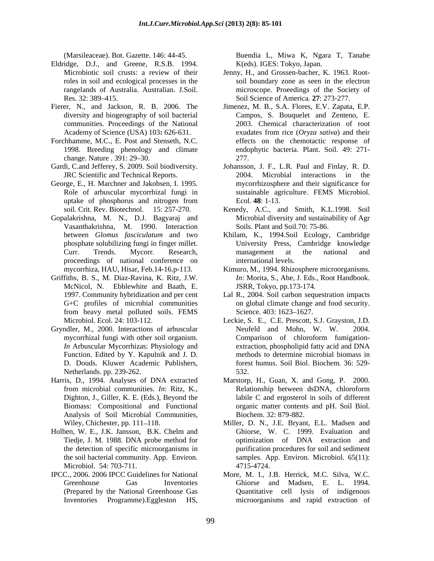- Eldridge, D.J., and Greene, R.S.B. 1994.
- communities. Proceedings of the National
- Forchhamme, M.C., E. Post and Stenseth, N.C.
- Gardi, C.and Jefferey, S. 2009. Soil biodiversity.<br>JRC Scientific and Technical Reports.
- 
- Gopalakrishna, M. N., D.J. Bagyaraj and Vasanthakrishna, M. 1990. Interaction proceedings of national conference on
- Griffiths, B. S., M. Diaz-Ravina, K. Ritz, J.W. McNicol, N. Ebblewhite and Baath, E. G+C profiles of microbial communities from heavy metal polluted soils. FEMS Science. 403: 1623-1627.
- Function. Edited by Y. Kapulnik and J. D. D. Douds. Kluwer Academic Publishers, Netherlands. pp. 239-262. 532.
- Analysis of Soil Microbial Communities,
- Microbiol. 54: 703-711. 4715-4724.
- IPCC., 2006. 2006 IPCC Guidelines for National More, M. I., J.B. Herrick, M.C. Silva, W.C.

(Marsileaceae). Bot. Gazette. 146: 44-45. K(eds). IGES: Tokyo, Japan.

- Microbiotic soil crusts: a review of their Jenny, H., and Grossen-bacher, K. 1963. Root roles in soil and ecological processes in the soil boundary zone as seen in the electron rangelands of Australia. Australian. J.Soil. microscope. Proeedings of the Society of Res. 32: 389 415. Soil Science of America*.* **27**: 273-277.
- Fierer, N., and Jackson, R. B. 2006. The Jimenez, M. B., S.A. Flores, E.V. Zapata, E.P. diversity and biogeography of soil bacterial Campos, S. Bouquelet and Zenteno, E. Academy of Science (USA) 103**:** 626-631. exudates from rice (*Oryza sativa*) and their 1998. Breeding phenology and climate endophytic bacteria. Plant. Soil. 49: 271 change. Nature . 391: 29–30. 277. 2011 2021 277. CMerifican<br>controls Date, Groenical is a function of the state of the state of the<br>state of the state of the state of the state of the state of the state<br> $\frac{1}{2}$  and the state of the state of the state of the state of t 2003. Chemical characterization of root effects on the chemotactic response of 277.
- JRC Scientific and Technical Reports. 2004. Microbial interactions in the George, E., H. Marchner and Jakobsen, I. 1995. mycorrhizosphere and their significance for Role of arbuscular mycorrhizal fungi in sustainable agriculture. FEMS Microbiol. uptake of phosphorus and nitrogen from Ecol. 48: 1-13. Johansson, J. F., L.R. Paul and Finlay, R. D. Ecol*.* **48**: 1-13.
	- soil*.* Crit. Rev. Biotechnol. 15: 257-270. Kenedy, A.C., and Smith, K.L.1998. Soil Microbial diversity and sustainability of Agr Soils. Plant and Soil.70: 75-86.
	- between *Glomus fasciculatum* and two Khilam, K., 1994.Soil Ecology, Cambridge phosphate solubilizing fungi in finger millet. University Press, Cambridge knowledge Curr. Trends. Mycorr. Research, management at the national and international levels.
	- mycorrhiza, HAU, Hisar, Feb.14-16.p-113. Kimuro, M., 1994. Rhizosphere microorganisms. *In:* Morita, S., Abe, J. Eds., Root Handbook. JSRR, Tokyo, pp.173-174.
	- 1997. Community hybridization and per cent Lal R., 2004. Soil carbon sequestration impacts on global climate change and food security. Science. 403: 1623–1627.
- Microbiol. Ecol*.* 24: 103-112. Leckie, S. E., C.E. Prescott, S.J. Grayston, J.D. Gryndler, M., 2000. Interactions of arbuscular Neufeld and Mohn, W. W. 2004. mycorrhizal fungi with other soil organism. *In* Arbuscular Mycorrhizas: Physiology and extraction, phospholipid fatty acid and DNA Neufeld and Mohn, W. W. Comparison of chloroform fumigation extraction, phospholipid fatty acid and DNA methods to determine microbial biomass in forest humus. Soil Biol. Biochem*.* 36: 529- 532.
- Harris, D., 1994. Analyses of DNA extracted Marstorp, H., Guan, X. and Gong, P. 2000. from microbial communities. *In*: Ritz, K., Dighton, J., Giller, K. E. (Eds.), Beyond the labile C and ergosterol in soils of different Biomass: Compositional and Functional organic matter contents and pH. Soil Biol. Relationship between dsDNA, chloroform Biochem. 32: 879-882.
- Wiley, Chichester, pp. 111–118. Miller, D. N., J.E. Bryant, E.L. Madsen and Holben, W. E., J.K. Jansson, B.K. Chelm and Tiedje, J. M. 1988. DNA probe method for optimization of DNA extraction and the detection of specific microorganisms in purification procedures for soil and sediment the soil bacterial community. App. Environ. samples. App. Environ*.* Microbiol. 65(11): Ghiorse, W. C. 1999. Evaluation and 4715-4724.
	- Greenhouse Gas Inventories Ghiorse and Madsen, E. L. 1994. (Prepared by the National Greenhouse Gas Quantitative cell lysis of indigenous microorganisms and rapid extraction of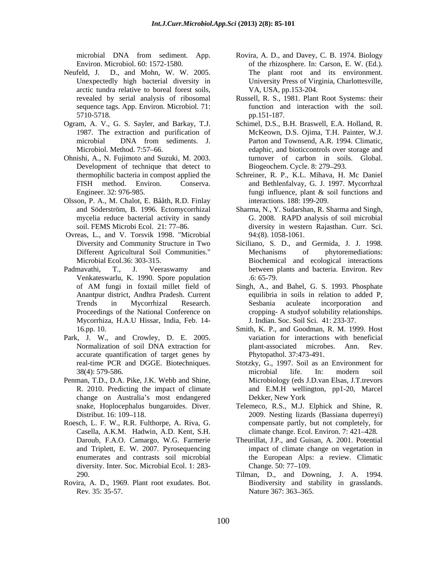- Neufeld, J. D., and Mohn, W. W. 2005. arctic tundra relative to boreal forest soils,<br>revealed by serial analysis of ribosomal sequence tags. App. Environ. Microbiol. 71:
- 
- Ohnishi, A., N. Fujimoto and Suzuki, M. 2003. Development of technique that detect to
- Olsson, P. A., M. Chalot, E. Bååth, R.D. Finlay
- Ovreas, L., and V. Torsvik 1998. "Microbial
- Venkateswarlu, K. 1990. Spore population Mycorrhiza, H.A.U Hissar, India, Feb. 14-
- Park, J. W., and Crowley, D. E. 2005. accurate quantification of target genes by
- Penman, T.D., D.A. Pike, J.K. Webb and Shine, change on Australia's most endangered Dekker, New York
- Roesch, L. F. W., R.R. Fulthorpe, A. Riva, G. Casella, A.K.M. Hadwin, A.D. Kent, S.H. diversity. Inter. Soc. Microbial Ecol. 1: 283-<br>Change. 50: 77–109.
- Rovira, A. D., 1969. Plant root exudates. Bot. Rev. 35: 35-57. Nature 367: 363–365.
- microbial DNA from sediment. App. Rovira, A. D., and Davey, C. B. 1974. Biology Environ. Microbiol. 60: 1572-1580. of the rhizosphere. In: Carson, E. W. (Ed.). Unexpectedly high bacterial diversity in University Press of Virginia, Charlottesville, The plant root and its environment. VA, USA, pp.153-204.
- revealed by serial analysis of ribosomal Russell, R. S., 1981. Plant Root Systems: their 5710-5718. function and interaction with the soil. pp.151-187.
- Ogram, A. V., G. S. Sayler, and Barkay, T.J. Schimel, D.S., B.H. Braswell, E.A. Holland, R. 1987. The extraction and purification of McKeown, D.S. Ojima, T.H. Painter, W.J. microbial DNA from sediments. J. Parton and Townsend, A.R. 1994. Climatic, Microbiol. Method. 7:57 66. edaphic, and bioticcontrols over storage and Parton and Townsend, A.R. 1994. Climatic, turnover of carbon in soils. Global. Biogeochem. Cycle. 8: 279 293.
	- thermophilic bacteria in compost applied the Schreiner, R. P., K.L. Mihava, H. Mc Daniel FISH method. Environ. Conserva. and Bethlenfalvay, G. J. 1997. Mycorrhzal Engineer. 32: 976-985. Tungi influence, plant & soil functions and fungi influence, plant & soil functions and interactions. 188: 199-209.
	- and Söderström, B. 1996. Ectomycorrhizal Sharma, N., Y. Sudarshan, R. Sharma and Singh, mycelia reduce bacterial activity in sandy G. 2008. RAPD analysis of soil microbial soil. FEMS Microbi Ecol.21: 77 86. diversity in western Rajasthan. Curr. Sci. 94:(8). 1058-1061.
- Diversity and Community Structure in Two Siciliano, S. D., and Germida, J. J. 1998. Different Agricultural Soil Communities." Mechanisms of phytoremediations:<br>Microbial Ecol.36: 303-315. Biochemical and ecological interactions Microbial Ecol.36: 303-315. Biochemical and ecological interactions Padmavathi, T., J. Veeraswamy and between plants and bacteria. Environ. Rev Mechanisms of phytoremediations: .6: 65-79.
	- of AM fungi in foxtail millet field of Singh, A., and Bahel, G. S. 1993. Phosphate Anantpur district, Andhra Pradesh. Current equilibria in soils in relation to added P, Trends in Mycorrhizal Research. Proceedings of the National Conference on cropping- A studyof solubility relationships. Sesbania aculeate incorporation and J*.* Indian. Soc. Soil Sci*.* 41: 233-37.
	- 16.pp. 10. Smith, K. P., and Goodman, R. M. 1999. Host Normalization of soil DNA extraction for plant-associated microbes. Ann. Rev. variation for interactions with beneficial plant-associated microbes. Ann. Phytopathol. 37:473-491.
	- real-time PCR and DGGE. Biotechniques. Stotzky, G., 1997. Soil as an Environment for 38(4): 579-586. R. 2010. Predicting the impact of climate and E.M.H wellington, pp1-20, Marcel microbial life. In: modern soil Microbiology (eds J.D.van Elsas, J.T.trevors Dekker, New York
	- snake, Hoplocephalus bungaroides. Diver. Telemeco, R.S., M.J. Elphick and Shine, R. Distribut. 16: 109 118. 2009. Nesting lizards (Bassiana duperreyi) compensate partly, but not completely, for climate change. Ecol. Environ. 7: 421–428.
	- Daroub, F.A.O. Camargo, W.G. Farmerie Theurillat, J.P., and Guisan, A. 2001. Potential and Triplett, E. W. 2007. Pyrosequencing impact of climate change on vegetation in enumerates and contrasts soil microbial the European Alps: a review. Climatic Change. 50: 77–109.
	- 290. Tilman, D., and Downing, J. A. 1994. Biodiversity and stability in grasslands. Nature 367: 363–365.